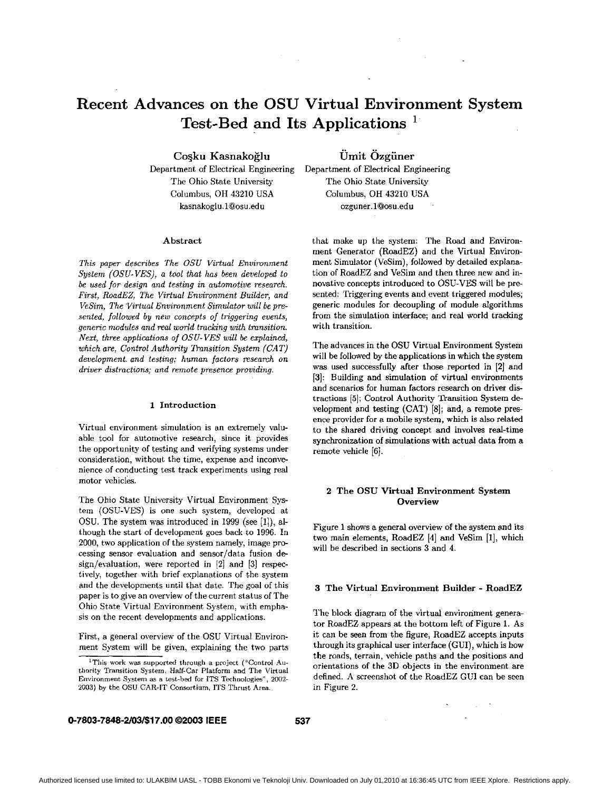# <span id="page-0-0"></span>**Recent Advances on the OSU Virtual Environment System Test-Bed and Its Applications**

**CoSku Kasnakoglu** 

**Omit Ozgiiner** 

Department of Electrical Engineering The Ohio State University Columbus, OH 43210 USA [kasnakoglu.l@osu.edu](mailto:kasnakoglu.l@osu.edu)

# Abstract

*This paper describes The OSU Virtual Environment System (OSU-VES), a tool that has been developed to be used for design and testing in automotive research. First, RoadEZ, The Virtual Environment Builder, and VeSim, The 'Virtual Environment Simulator will be presented, followed by new concepts of triggering euents, generic modules and* red *world tracking with transition. Nezt, three applications of OSU-VES will be ezplained, which are, Control Authority Transition System (CAT) development. and testing; human factors research on driver distractions; and remote presence prouiding.* 

#### **1** Introduction

Virtual environment simulation is an extremely valuable tool for automotive research, since it provides the opportunity of testing and verifying systems under consideration, without the time, expense and inconvenience of conducting test track experiments using real motor vehicles.

The Ohio State University Virtual Environment System (OSU-VES) is one such system, developed at OSU. The system was introduced in 1999 (see [l]), although the start of development goes hack to 1996. In 2000, two application of the system namely, image processing sensor evaluation and sensor/data fusion design/evaluation, were reported in **[2]** and [3] respectively, together with brief explanations of the system and the developments until that date. The goal of this paper is to give an overview of the current status of The Ohio State Virtual Environment System, with emphasis on the recent developments and applications.

First, a general overview of the OSU Virtual Environment System will be given, explaining the two parts Department of Electrical Engineering The Ohio State University Columbus, OH 43210 USA [ozguner.l@osu.edu](mailto:ozguner.l@osu.edu)

that make up the system: The Road and Environment Generator (RoadEZ) and the Virtual Environment Simulator (VeSim), followed by detailed explanation of RoadEZ and VeSim and then three new and innovative concepts introduced to OSU-VES will be presented: Triggering events and event triggered modules; generic modules for decoupling of module algorithm from the simulation interface; and real world tracking with transition.

The advances in the OSU Virtual Environment System will be followed by the applications in which the system was used successfully after those reported in **[Z]** and **131:** Building and simulation of virtual environments and scenarios for human factors research on driver dis tractions **151;** Control Authority Transition System development and testing (CAT) [8]; and, a remote pres ence provider for a mohile system, which is **also** related to the shared driving concept and involves real-time synchronization of simulations with actual data from a remote vehicle [SI.

# **2** The **OSU** Virtual Environment System **Overview**

Figure 1 shows a general overview of the system and its two main elements, RoadEZ [4] and VeSim [l], which will he described in sections 3 and 4.

# **3** The Virtual Environment Builder - RoadEZ

The block diagram of the virtual environment generator RoadEZ appears at the bottom left of Figure l. As it can be seen from the figure, RoadEZ accepts inputs through its graphical user interface (GUI), which is how the roads, terrain, vehicle paths and the positions and orientations of the 3D objects in the environment are defined. A screenshot of the RoadEZ GUI can be seen in Figure 2.

**0-7803-7848-2/03/\$17.00 02003 IEEE 537** 

<sup>&#</sup>x27;This **work** was supported through *a* project ("Control Authority Transition System. Half-Car Platform and The Virtual Environment System **a5 a** test-bed **for** ITS Technologies", *2002-*  2003) by the OSU CAR-IT **Consortium,** ITS Thrust Area.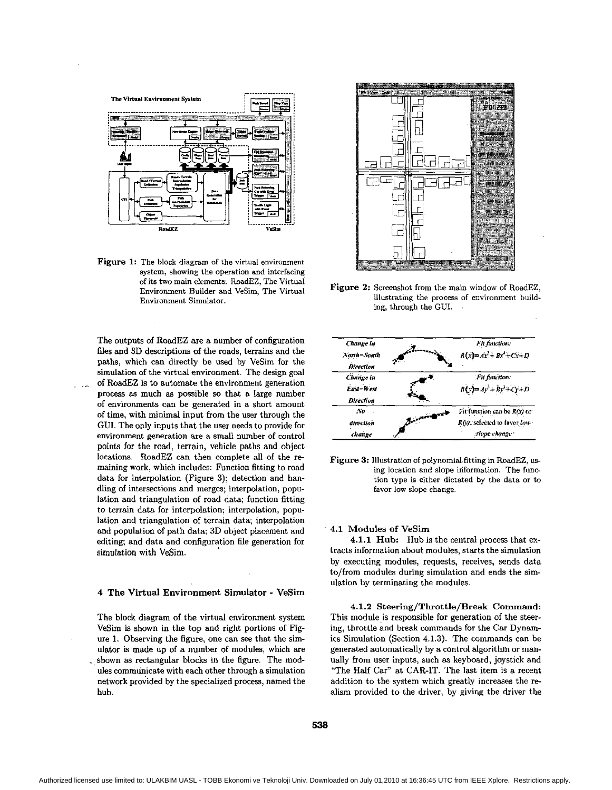

Figure 1: The block diagram of the virtual environment system, showing the operation and interfacing of its two main elements: RoadEZ, The Virtual Environment Builder and VeSim, The Virtual Environment Simulator.

The outputs of RoadEZ are a number of configuration files and 3D descriptions of the roads, terrains and the paths, which can directly be used hy VeSim for the simulation of the virtual environment. The design goal of RoadEZ is to automate the environment generation process **as** much **as** possible *so* that a large number of environments can be generated in a short amount of time, with minimal input from the user through the GUI. The only inputs that the user needs to provide for environment generation are **a** small number of control points for the road, terrain, vehicle paths and object locations. RoadEZ can then complete all of the **re**maining work, which includes: Function fitting to road data for interpolation (Figure 3); detection and handling of intersections and merges; interpolation, population and triangulation of road data; function fitting to terrain data for interpolation: interpolation, population and triangulation of terrain data; interpolation and population of path data; 3D object placement and editing; and data and configuration file generation for simulation with VeSim.

#### **4 The Virtual Environment Simulator** - **VeSim**

The block diagram of the virtual environment system VeSim is shown in the top and right portions of Fig[ure 1.](#page-0-0) Observing the figure, one can see that the simulator is made up of a number of modules, which are shown **as** rectangular blocks in the figure. The modules communicate with each other through a simulation network provided by the specialized process, named the hub.



**Figure 2:** Screenshot from the main window of RoadEZ, illustrating the process of environment building, through the GUI.



**Figure 3:** Illustration of polynomial.fitting in RoadEZ, **us**  ing location and slope information. The function type is either dictated by the data or **to**  favor low slope change.

## **4.1 Modules of VeSim**

4.1.1 Hub: Hub is the central process that extracts information about modules, starts the simulation by executing modules, requests, receives, sends data to/from modules during simulation and ends the simulation by terminating the modules.

**4.1.2 Steering/Throttle/Break Command:** This module is responsible for generation of the steering, throttle and break commands for the Car Dynamics Simulation (Section 4.1.3). The commands can he generated automatically by a control algorithm or manually from user inputs, such **as** keyboard, joystick and "The Half Car" at CAR-IT. The last item is a recent addition to the system which greatly increases the **re**alism provided to the driver, by giving the driver the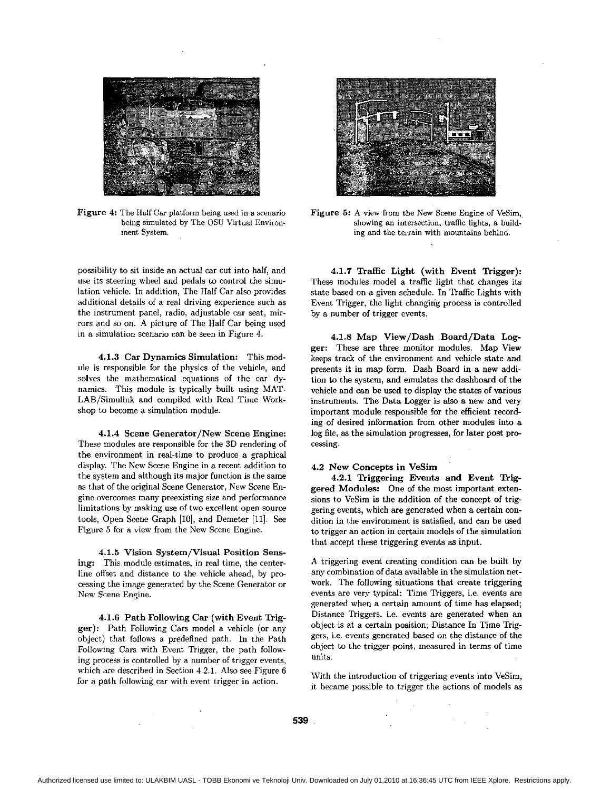

Figure 4: The Half Car platform being used in a scenario being simulated by The OSU Virtual Environment System.

possibility to sit inside an actual car cut into half, and use its steering wheel and pedals to control the simulation vehicle. In addition, The Half Car also provides additional details of a real driving experience such **as**  the instrument panel, radio, adjustable car seat, mirrors and *so* on. A picture of The Half Car being used in a simulation scenario can be seen in Figure **4.** 

**4.1.3 Car** Dynamics Simulation: This module is responsible for the physics of the vehicle, and solves the mathematical equations of the car dynamics. This module is typically built using MAT-LAB/Simulink and compiled with Real Time Workshop to become a simulation module.

**4.1.4** Scene Generator/New Scene Engine: These modules are responsible for the 3D rendering of the environment in real-time to produce a graphical display. The New Scene Engine in a recent addition to the system and although its major function is the same as that of the original Scene Generator, New Scene Engine overcomes many preexisting size and performance limitations by making use of two excellent open source tools, Open Scene Graph [10], and Demeter [11]. See Figure 5 for a view from the New Scene Engine.

**4.1.5** Vision System/Visual Position Sens ing: This module estimates, in real time, the centerline offset and distance to the vehicle ahead, by processing the image generated hy the Scene Generator or New Scene Engine.

**4.1.6** Path Following **Car** (with Event Trigger): Path Following Cars model a vehicle (or any object) that follows a predefined path. In the Path Following Cars with Event Trigger, the path following process is controlled by a number of trigger events, which are described in Section **4.2.1.** Also see Figure 6 for a path following car with event trigger in action.



Figure 5: A view from the New Scene Engine of VeSim. showing **an** intersection, traffic lights, a building and the terrain with mountains behind.

**4.1.7** Traffic Light (with Event Trigger): These modules model a traffic light that changes its state based on a given schedule. In Traffic Lights with Event Trigger, the light changing process is controlled by a number of trigger events.

**4.1.8** Map View/Dash Board/Data Logger: These are three monitor modules. Map View keeps track of the environment and vehicle state and presents it in map form. Dash Board in a new addition to the system, and emulates the dashboard of the vehicle and can be used to display the states of various instruments. The Data Logger is also a new and very important module responsible for the efficient recording of desired information from other modules into a log file, as the simulation progresses, for later post processing.

#### **4.2** New Concepts in VeSim

**4.2.1** Triggering Events and Event Triggered Modules: One of the most important extensions to VeSim is the addition of the concept of triggering events, which are generated when a certain condition in the environment is satisfied, and can be used to drigger an action in certain models of the simulation that accept these triggering events **as** input.

A triggering event creating condition can be built by any combination of data available in the simulation network. The following situations that create triggering events are very typical: Time Triggers, i.e. events are generated when a certain amount of time has elapsed; Distance Triggers, i.e. events are generated when an object is at a certain position; Distance In Time Triggers, i.e. events generated based on the distance of the object to the trigger point., measured in terms of time units.

With the introduction of triggering events into VeSim, it became possible to trigger the actions of models as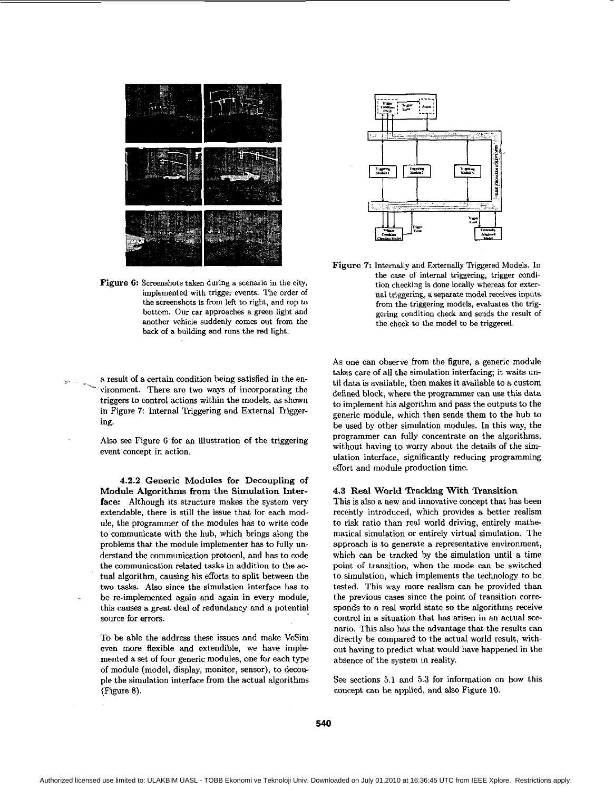

Figure 6: Screenshots taken during a scenario in the city, implemented with trigger events. The order of the screenshots is from left to right, and top to bottom. Our car approaches a green light and another vehicle suddenly **wmes** out from the **back** of a building and runs the red light.

a result of a certain condition being satisfied in the ena result of a certain condition being satisfied in the environment. There are two ways of incorporating the triggers to central actions within the models as shown triggers to control actions within the models, as shown in Figure 7: Internal Triggering and External Triggering.

> Also **see** Figure 6 for an illustration of the triggering event concept in action.

> **4.2.2** Generic Modules for Decoupling **of**  Module Algorithms from the Simulation Interface: Although its structure makes the system very extendable, there is still the issue that for each module, the programmer of the modules has to write code to communicate with the huh, which brings along the problems that the module implementer has to fully understand the communication protocol, and has to code the communication related tasks in addition to the **ac**tual algorithm, causing his efforts to split between the two tasks. Also since the simulation interface has to be re-implemented again and again in every module, this causes a great deal of redundancy and a potential source for errors.

-

To he able the address these issues and make VeSim even more flexible and extendible, we have implemented a set of four generic modules, one for each type of module (model, display, monitor, sensor), to decouple the simulation interface from the actual algorithms (Figure 8).



Figure **7:** Internally and Externally Triggered Models. In the case of internal triggering, trigger condition checking is done locally whereas for external triggering, **a** separate model receives **inputs**  from the triggering models, evaluates the triggering condition check and sends the result of the check to the model to he triggered.

As one can observe from the figure, a generic module takes care of all the simulation interfacing; it waits until data is available, then makes it available to a custom defined block, where the programmer can **use** this data to implement his algorithm and pass the outputs to the generic module, which then sends them to the huh to he used by other simulation modules. In this way, the programmer can fully concentrate on the algorithms, without having to worry about the details of the simulation interface, significantly reducing programming effort and module production time.

# **4.3** Real World Tracking With Transition

This is also a new and innovative concept that has been recently introduced, which provides a better realism to risk ratio than real world driving, entirely mathe matical simulation or entirely virtual simulation. The approach is to generate a representative environment, which can be tracked by the simulation until a time point of transition, when the mode can he switched to simulation, which implements the technology to be tested. This way more realism can he provided than the previous cases since the point of transition corresponds to a real world state so the algorithms receive control in a situation that has arisen in an actual *sce*nario. This also has the advantage that the results can directly be compared to the actual world result, without having to predict what would have happened in the absence of the system in reality.

*See* sections 5.1 and **5.3** for information on how this concept can be applied, and also [Figure 10.](#page-5-0)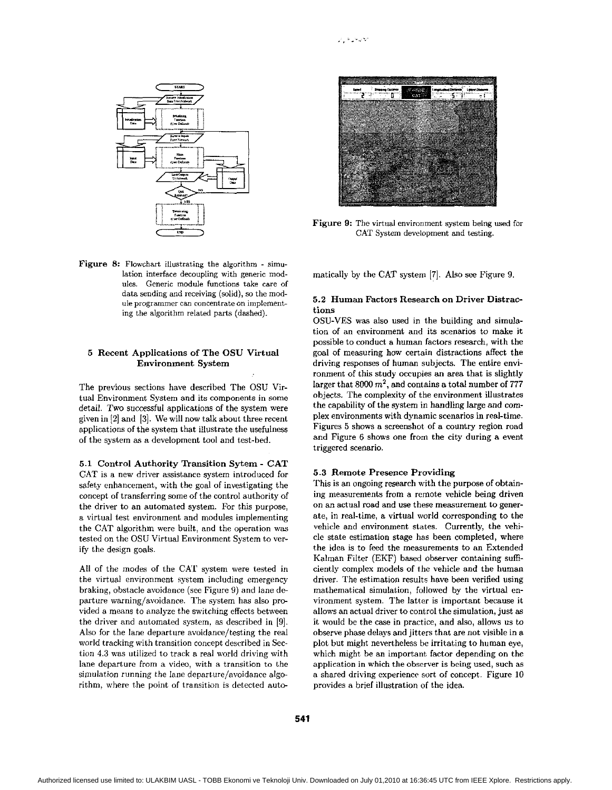

Figure 8: Flowchart illustrating the algorithm - simulation interface decoupling with generic modules. Generic module functions take care of data sending and receiving (solid), so the module programmer can concentrate on implementing the algorithm related parts (dashed).

# 5 Recent Applications of The OSU Virtual **Environment System**

The previous sections have described The OSU Virtual Environment System and its components in some detail. Two successful applications of the system were given in  $[2]$  and  $[3]$ . We will now talk about three recent applications of the system that illustrate the usefulness of the system as a development tool and test-bed.

5.1 Control Authority Transition Sytem - CAT CAT is a new driver assistance system introduced for safety enhancement, with the goal of investigating the concept of transferring some of the control authority of the driver to an automated system. For this purpose, a virtual test environment and modules implementing the CAT algorithm were built, and the operation was tested on the OSU Virtual Environment System to verify the design goals.

All of the modes of the CAT system were tested in the virtual environment system including emergency braking, obstacle avoidance (see Figure 9) and lane departure warning/avoidance. The system has also provided a means to analyze the switching effects between the driver and automated system, as described in [9]. Also for the lane departure avoidance/testing the real world tracking with transition concept described in Section 4.3 was utilized to track a real world driving with lane departure from a video, with a transition to the simulation running the lane departure/avoidance algorithm, where the point of transition is detected auto-



Figure 9: The virtual environment system being used for CAT System development and testing.

matically by the CAT system [7]. Also see Figure 9.

# 5.2 Human Factors Research on Driver Distractions

OSU-VES was also used in the building and simulation of an environment and its scenarios to make it possible to conduct a human factors research, with the goal of measuring how certain distractions affect the driving responses of human subjects. The entire environment of this study occupies an area that is slightly larger that 8000  $m^2$ , and contains a total number of 777 objects. The complexity of the environment illustrates the capability of the system in handling large and complex environments with dynamic scenarios in real-time. Figures 5 shows a screenshot of a country region road and Figure 6 shows one from the city during a event triggered scenario.

### 5.3 Remote Presence Providing

This is an ongoing research with the purpose of obtaining measurements from a remote vehicle being driven on an actual road and use these measurement to generate, in real-time, a virtual world corresponding to the vehicle and environment states. Currently, the vehicle state estimation stage has been completed, where the idea is to feed the measurements to an Extended Kalman Filter (EKF) based observer containing sufficiently complex models of the vehicle and the human driver. The estimation results have been verified using mathematical simulation, followed by the virtual environment system. The latter is important because it allows an actual driver to control the simulation, just as it would be the case in practice, and also, allows us to observe phase delays and jitters that are not visible in a plot but might nevertheless be irritating to human eye, which might be an important factor depending on the application in which the observer is being used, such as a shared driving experience sort of concept. Figure 10 provides a brief illustration of the idea.